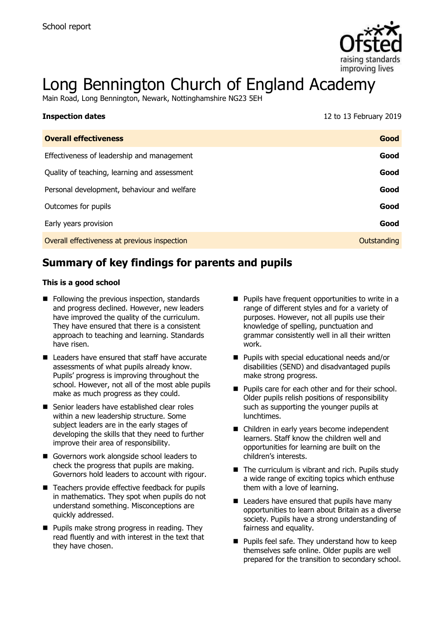

# Long Bennington Church of England Academy

Main Road, Long Bennington, Newark, Nottinghamshire NG23 5EH

| <b>Inspection dates</b>                      | 12 to 13 February 2019 |
|----------------------------------------------|------------------------|
| <b>Overall effectiveness</b>                 | Good                   |
| Effectiveness of leadership and management   | Good                   |
| Quality of teaching, learning and assessment | Good                   |
| Personal development, behaviour and welfare  | Good                   |
| Outcomes for pupils                          | Good                   |
| Early years provision                        | Good                   |
| Overall effectiveness at previous inspection | Outstanding            |

# **Summary of key findings for parents and pupils**

#### **This is a good school**

- Following the previous inspection, standards and progress declined. However, new leaders have improved the quality of the curriculum. They have ensured that there is a consistent approach to teaching and learning. Standards have risen.
- Leaders have ensured that staff have accurate assessments of what pupils already know. Pupils' progress is improving throughout the school. However, not all of the most able pupils make as much progress as they could.
- Senior leaders have established clear roles within a new leadership structure. Some subject leaders are in the early stages of developing the skills that they need to further improve their area of responsibility.
- Governors work alongside school leaders to check the progress that pupils are making. Governors hold leaders to account with rigour.
- Teachers provide effective feedback for pupils in mathematics. They spot when pupils do not understand something. Misconceptions are quickly addressed.
- **Pupils make strong progress in reading. They** read fluently and with interest in the text that they have chosen.
- **Pupils have frequent opportunities to write in a** range of different styles and for a variety of purposes. However, not all pupils use their knowledge of spelling, punctuation and grammar consistently well in all their written work.
- **Pupils with special educational needs and/or** disabilities (SEND) and disadvantaged pupils make strong progress.
- **Pupils care for each other and for their school.** Older pupils relish positions of responsibility such as supporting the younger pupils at lunchtimes.
- Children in early years become independent learners. Staff know the children well and opportunities for learning are built on the children's interests.
- $\blacksquare$  The curriculum is vibrant and rich. Pupils study a wide range of exciting topics which enthuse them with a love of learning.
- Leaders have ensured that pupils have many opportunities to learn about Britain as a diverse society. Pupils have a strong understanding of fairness and equality.
- **Pupils feel safe. They understand how to keep** themselves safe online. Older pupils are well prepared for the transition to secondary school.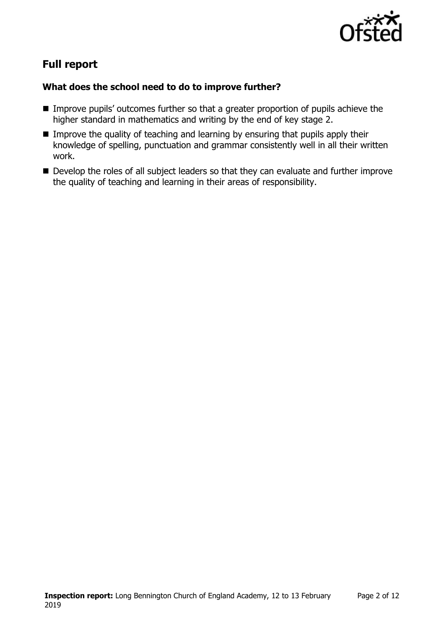

# **Full report**

### **What does the school need to do to improve further?**

- Improve pupils' outcomes further so that a greater proportion of pupils achieve the higher standard in mathematics and writing by the end of key stage 2.
- **IMPROVE the quality of teaching and learning by ensuring that pupils apply their** knowledge of spelling, punctuation and grammar consistently well in all their written work.
- Develop the roles of all subject leaders so that they can evaluate and further improve the quality of teaching and learning in their areas of responsibility.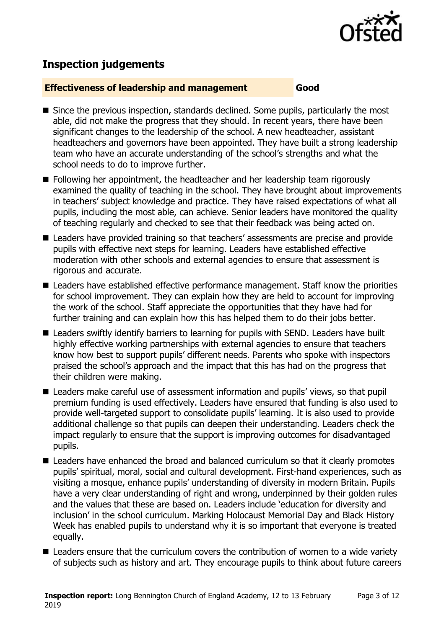

## **Inspection judgements**

#### **Effectiveness of leadership and management Good**

- Since the previous inspection, standards declined. Some pupils, particularly the most able, did not make the progress that they should. In recent years, there have been significant changes to the leadership of the school. A new headteacher, assistant headteachers and governors have been appointed. They have built a strong leadership team who have an accurate understanding of the school's strengths and what the school needs to do to improve further.
- Following her appointment, the headteacher and her leadership team rigorously examined the quality of teaching in the school. They have brought about improvements in teachers' subject knowledge and practice. They have raised expectations of what all pupils, including the most able, can achieve. Senior leaders have monitored the quality of teaching regularly and checked to see that their feedback was being acted on.
- Leaders have provided training so that teachers' assessments are precise and provide pupils with effective next steps for learning. Leaders have established effective moderation with other schools and external agencies to ensure that assessment is rigorous and accurate.
- Leaders have established effective performance management. Staff know the priorities for school improvement. They can explain how they are held to account for improving the work of the school. Staff appreciate the opportunities that they have had for further training and can explain how this has helped them to do their jobs better.
- Leaders swiftly identify barriers to learning for pupils with SEND. Leaders have built highly effective working partnerships with external agencies to ensure that teachers know how best to support pupils' different needs. Parents who spoke with inspectors praised the school's approach and the impact that this has had on the progress that their children were making.
- Leaders make careful use of assessment information and pupils' views, so that pupil premium funding is used effectively. Leaders have ensured that funding is also used to provide well-targeted support to consolidate pupils' learning. It is also used to provide additional challenge so that pupils can deepen their understanding. Leaders check the impact regularly to ensure that the support is improving outcomes for disadvantaged pupils.
- Leaders have enhanced the broad and balanced curriculum so that it clearly promotes pupils' spiritual, moral, social and cultural development. First-hand experiences, such as visiting a mosque, enhance pupils' understanding of diversity in modern Britain. Pupils have a very clear understanding of right and wrong, underpinned by their golden rules and the values that these are based on. Leaders include 'education for diversity and inclusion' in the school curriculum. Marking Holocaust Memorial Day and Black History Week has enabled pupils to understand why it is so important that everyone is treated equally.
- Leaders ensure that the curriculum covers the contribution of women to a wide variety of subjects such as history and art. They encourage pupils to think about future careers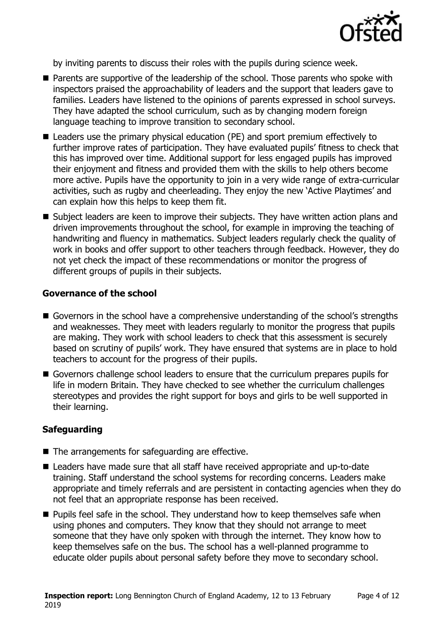

by inviting parents to discuss their roles with the pupils during science week.

- Parents are supportive of the leadership of the school. Those parents who spoke with inspectors praised the approachability of leaders and the support that leaders gave to families. Leaders have listened to the opinions of parents expressed in school surveys. They have adapted the school curriculum, such as by changing modern foreign language teaching to improve transition to secondary school.
- Leaders use the primary physical education (PE) and sport premium effectively to further improve rates of participation. They have evaluated pupils' fitness to check that this has improved over time. Additional support for less engaged pupils has improved their enjoyment and fitness and provided them with the skills to help others become more active. Pupils have the opportunity to join in a very wide range of extra-curricular activities, such as rugby and cheerleading. They enjoy the new 'Active Playtimes' and can explain how this helps to keep them fit.
- Subject leaders are keen to improve their subjects. They have written action plans and driven improvements throughout the school, for example in improving the teaching of handwriting and fluency in mathematics. Subject leaders regularly check the quality of work in books and offer support to other teachers through feedback. However, they do not yet check the impact of these recommendations or monitor the progress of different groups of pupils in their subjects.

#### **Governance of the school**

- Governors in the school have a comprehensive understanding of the school's strengths and weaknesses. They meet with leaders regularly to monitor the progress that pupils are making. They work with school leaders to check that this assessment is securely based on scrutiny of pupils' work. They have ensured that systems are in place to hold teachers to account for the progress of their pupils.
- Governors challenge school leaders to ensure that the curriculum prepares pupils for life in modern Britain. They have checked to see whether the curriculum challenges stereotypes and provides the right support for boys and girls to be well supported in their learning.

### **Safeguarding**

- The arrangements for safeguarding are effective.
- Leaders have made sure that all staff have received appropriate and up-to-date training. Staff understand the school systems for recording concerns. Leaders make appropriate and timely referrals and are persistent in contacting agencies when they do not feel that an appropriate response has been received.
- $\blacksquare$  Pupils feel safe in the school. They understand how to keep themselves safe when using phones and computers. They know that they should not arrange to meet someone that they have only spoken with through the internet. They know how to keep themselves safe on the bus. The school has a well-planned programme to educate older pupils about personal safety before they move to secondary school.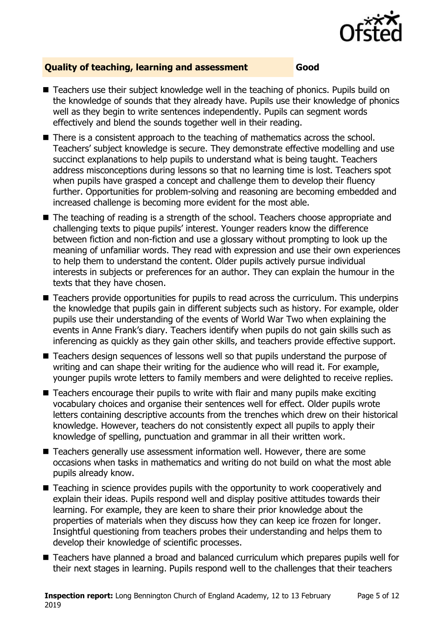

### **Quality of teaching, learning and assessment Good**

- Teachers use their subiect knowledge well in the teaching of phonics. Pupils build on the knowledge of sounds that they already have. Pupils use their knowledge of phonics well as they begin to write sentences independently. Pupils can segment words effectively and blend the sounds together well in their reading.
- There is a consistent approach to the teaching of mathematics across the school. Teachers' subject knowledge is secure. They demonstrate effective modelling and use succinct explanations to help pupils to understand what is being taught. Teachers address misconceptions during lessons so that no learning time is lost. Teachers spot when pupils have grasped a concept and challenge them to develop their fluency further. Opportunities for problem-solving and reasoning are becoming embedded and increased challenge is becoming more evident for the most able.
- The teaching of reading is a strength of the school. Teachers choose appropriate and challenging texts to pique pupils' interest. Younger readers know the difference between fiction and non-fiction and use a glossary without prompting to look up the meaning of unfamiliar words. They read with expression and use their own experiences to help them to understand the content. Older pupils actively pursue individual interests in subjects or preferences for an author. They can explain the humour in the texts that they have chosen.
- Teachers provide opportunities for pupils to read across the curriculum. This underpins the knowledge that pupils gain in different subjects such as history. For example, older pupils use their understanding of the events of World War Two when explaining the events in Anne Frank's diary. Teachers identify when pupils do not gain skills such as inferencing as quickly as they gain other skills, and teachers provide effective support.
- Teachers design sequences of lessons well so that pupils understand the purpose of writing and can shape their writing for the audience who will read it. For example, younger pupils wrote letters to family members and were delighted to receive replies.
- $\blacksquare$  Teachers encourage their pupils to write with flair and many pupils make exciting vocabulary choices and organise their sentences well for effect. Older pupils wrote letters containing descriptive accounts from the trenches which drew on their historical knowledge. However, teachers do not consistently expect all pupils to apply their knowledge of spelling, punctuation and grammar in all their written work.
- Teachers generally use assessment information well. However, there are some occasions when tasks in mathematics and writing do not build on what the most able pupils already know.
- Teaching in science provides pupils with the opportunity to work cooperatively and explain their ideas. Pupils respond well and display positive attitudes towards their learning. For example, they are keen to share their prior knowledge about the properties of materials when they discuss how they can keep ice frozen for longer. Insightful questioning from teachers probes their understanding and helps them to develop their knowledge of scientific processes.
- Teachers have planned a broad and balanced curriculum which prepares pupils well for their next stages in learning. Pupils respond well to the challenges that their teachers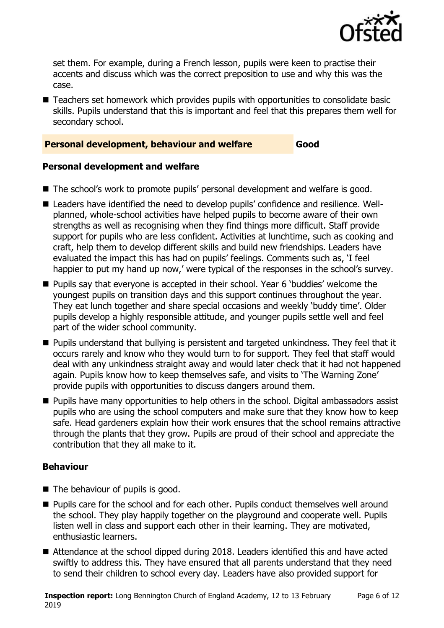

set them. For example, during a French lesson, pupils were keen to practise their accents and discuss which was the correct preposition to use and why this was the case.

■ Teachers set homework which provides pupils with opportunities to consolidate basic skills. Pupils understand that this is important and feel that this prepares them well for secondary school.

#### **Personal development, behaviour and welfare Good**

### **Personal development and welfare**

- The school's work to promote pupils' personal development and welfare is good.
- Leaders have identified the need to develop pupils' confidence and resilience. Wellplanned, whole-school activities have helped pupils to become aware of their own strengths as well as recognising when they find things more difficult. Staff provide support for pupils who are less confident. Activities at lunchtime, such as cooking and craft, help them to develop different skills and build new friendships. Leaders have evaluated the impact this has had on pupils' feelings. Comments such as, 'I feel happier to put my hand up now,' were typical of the responses in the school's survey.
- **Pupils say that everyone is accepted in their school. Year 6 'buddies' welcome the** youngest pupils on transition days and this support continues throughout the year. They eat lunch together and share special occasions and weekly 'buddy time'. Older pupils develop a highly responsible attitude, and younger pupils settle well and feel part of the wider school community.
- **Pupils understand that bullying is persistent and targeted unkindness. They feel that it** occurs rarely and know who they would turn to for support. They feel that staff would deal with any unkindness straight away and would later check that it had not happened again. Pupils know how to keep themselves safe, and visits to 'The Warning Zone' provide pupils with opportunities to discuss dangers around them.
- **Pupils have many opportunities to help others in the school. Digital ambassadors assist** pupils who are using the school computers and make sure that they know how to keep safe. Head gardeners explain how their work ensures that the school remains attractive through the plants that they grow. Pupils are proud of their school and appreciate the contribution that they all make to it.

### **Behaviour**

- The behaviour of pupils is good.
- Pupils care for the school and for each other. Pupils conduct themselves well around the school. They play happily together on the playground and cooperate well. Pupils listen well in class and support each other in their learning. They are motivated, enthusiastic learners.
- Attendance at the school dipped during 2018. Leaders identified this and have acted swiftly to address this. They have ensured that all parents understand that they need to send their children to school every day. Leaders have also provided support for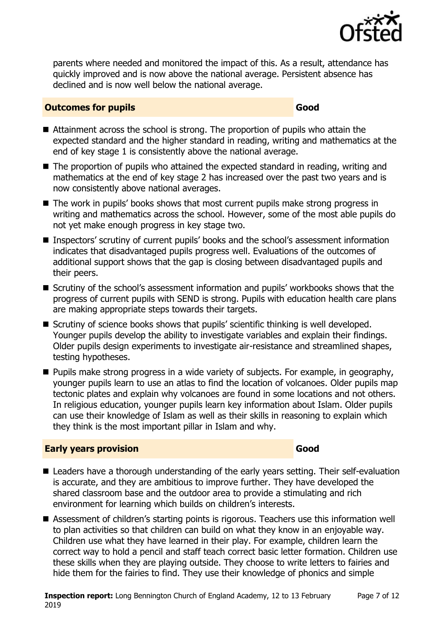

parents where needed and monitored the impact of this. As a result, attendance has quickly improved and is now above the national average. Persistent absence has declined and is now well below the national average.

#### **Outcomes for pupils Good**

- Attainment across the school is strong. The proportion of pupils who attain the expected standard and the higher standard in reading, writing and mathematics at the end of key stage 1 is consistently above the national average.
- $\blacksquare$  The proportion of pupils who attained the expected standard in reading, writing and mathematics at the end of key stage 2 has increased over the past two years and is now consistently above national averages.
- The work in pupils' books shows that most current pupils make strong progress in writing and mathematics across the school. However, some of the most able pupils do not yet make enough progress in key stage two.
- Inspectors' scrutiny of current pupils' books and the school's assessment information indicates that disadvantaged pupils progress well. Evaluations of the outcomes of additional support shows that the gap is closing between disadvantaged pupils and their peers.
- Scrutiny of the school's assessment information and pupils' workbooks shows that the progress of current pupils with SEND is strong. Pupils with education health care plans are making appropriate steps towards their targets.
- Scrutiny of science books shows that pupils' scientific thinking is well developed. Younger pupils develop the ability to investigate variables and explain their findings. Older pupils design experiments to investigate air-resistance and streamlined shapes, testing hypotheses.
- **Pupils make strong progress in a wide variety of subjects. For example, in geography,** younger pupils learn to use an atlas to find the location of volcanoes. Older pupils map tectonic plates and explain why volcanoes are found in some locations and not others. In religious education, younger pupils learn key information about Islam. Older pupils can use their knowledge of Islam as well as their skills in reasoning to explain which they think is the most important pillar in Islam and why.

### **Early years provision Good Good**

- Leaders have a thorough understanding of the early years setting. Their self-evaluation is accurate, and they are ambitious to improve further. They have developed the shared classroom base and the outdoor area to provide a stimulating and rich environment for learning which builds on children's interests.
- Assessment of children's starting points is rigorous. Teachers use this information well to plan activities so that children can build on what they know in an enjoyable way. Children use what they have learned in their play. For example, children learn the correct way to hold a pencil and staff teach correct basic letter formation. Children use these skills when they are playing outside. They choose to write letters to fairies and hide them for the fairies to find. They use their knowledge of phonics and simple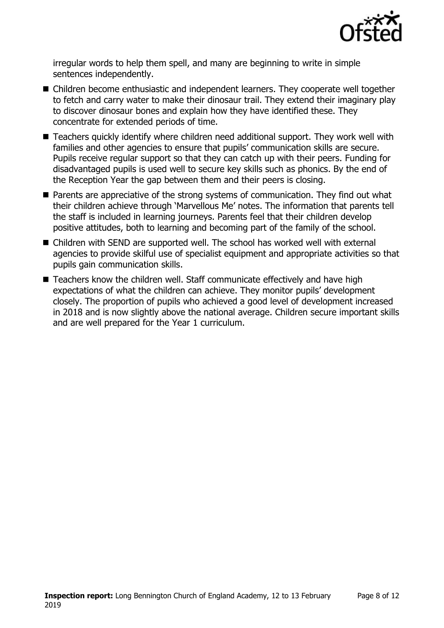

irregular words to help them spell, and many are beginning to write in simple sentences independently.

- Children become enthusiastic and independent learners. They cooperate well together to fetch and carry water to make their dinosaur trail. They extend their imaginary play to discover dinosaur bones and explain how they have identified these. They concentrate for extended periods of time.
- Teachers quickly identify where children need additional support. They work well with families and other agencies to ensure that pupils' communication skills are secure. Pupils receive regular support so that they can catch up with their peers. Funding for disadvantaged pupils is used well to secure key skills such as phonics. By the end of the Reception Year the gap between them and their peers is closing.
- **Parents are appreciative of the strong systems of communication. They find out what** their children achieve through 'Marvellous Me' notes. The information that parents tell the staff is included in learning journeys. Parents feel that their children develop positive attitudes, both to learning and becoming part of the family of the school.
- Children with SEND are supported well. The school has worked well with external agencies to provide skilful use of specialist equipment and appropriate activities so that pupils gain communication skills.
- Teachers know the children well. Staff communicate effectively and have high expectations of what the children can achieve. They monitor pupils' development closely. The proportion of pupils who achieved a good level of development increased in 2018 and is now slightly above the national average. Children secure important skills and are well prepared for the Year 1 curriculum.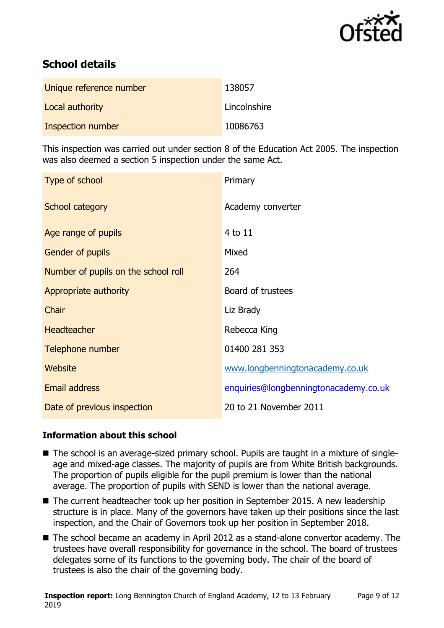

# **School details**

| Unique reference number | 138057       |
|-------------------------|--------------|
| Local authority         | Lincolnshire |
| Inspection number       | 10086763     |

This inspection was carried out under section 8 of the Education Act 2005. The inspection was also deemed a section 5 inspection under the same Act.

| Type of school                      | Primary                               |
|-------------------------------------|---------------------------------------|
| School category                     | Academy converter                     |
| Age range of pupils                 | 4 to 11                               |
| Gender of pupils                    | Mixed                                 |
| Number of pupils on the school roll | 264                                   |
| Appropriate authority               | Board of trustees                     |
| Chair                               | Liz Brady                             |
| <b>Headteacher</b>                  | Rebecca King                          |
| Telephone number                    | 01400 281 353                         |
| <b>Website</b>                      | www.longbenningtonacademy.co.uk       |
| <b>Email address</b>                | enquiries@longbenningtonacademy.co.uk |
| Date of previous inspection         | 20 to 21 November 2011                |

### **Information about this school**

- The school is an average-sized primary school. Pupils are taught in a mixture of singleage and mixed-age classes. The majority of pupils are from White British backgrounds. The proportion of pupils eligible for the pupil premium is lower than the national average. The proportion of pupils with SEND is lower than the national average.
- The current headteacher took up her position in September 2015. A new leadership structure is in place. Many of the governors have taken up their positions since the last inspection, and the Chair of Governors took up her position in September 2018.
- The school became an academy in April 2012 as a stand-alone convertor academy. The trustees have overall responsibility for governance in the school. The board of trustees delegates some of its functions to the governing body. The chair of the board of trustees is also the chair of the governing body.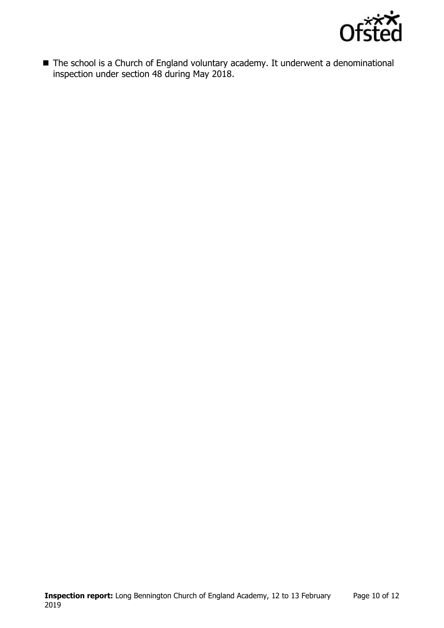

■ The school is a Church of England voluntary academy. It underwent a denominational inspection under section 48 during May 2018.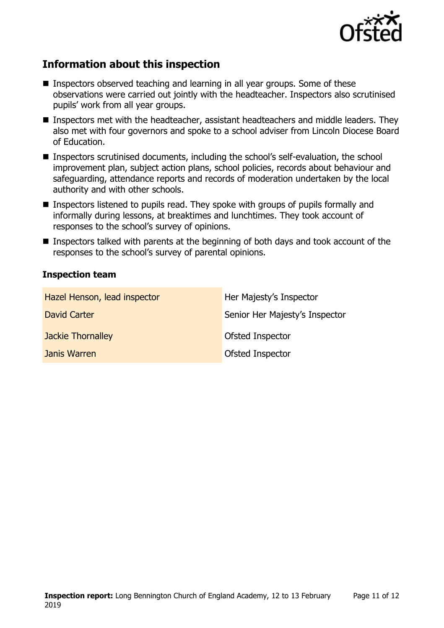

# **Information about this inspection**

- Inspectors observed teaching and learning in all year groups. Some of these observations were carried out jointly with the headteacher. Inspectors also scrutinised pupils' work from all year groups.
- Inspectors met with the headteacher, assistant headteachers and middle leaders. They also met with four governors and spoke to a school adviser from Lincoln Diocese Board of Education.
- Inspectors scrutinised documents, including the school's self-evaluation, the school improvement plan, subject action plans, school policies, records about behaviour and safeguarding, attendance reports and records of moderation undertaken by the local authority and with other schools.
- Inspectors listened to pupils read. They spoke with groups of pupils formally and informally during lessons, at breaktimes and lunchtimes. They took account of responses to the school's survey of opinions.
- Inspectors talked with parents at the beginning of both days and took account of the responses to the school's survey of parental opinions.

### **Inspection team**

| Hazel Henson, lead inspector | Her Majesty's Inspector        |
|------------------------------|--------------------------------|
| David Carter                 | Senior Her Majesty's Inspector |
| <b>Jackie Thornalley</b>     | Ofsted Inspector               |
| Janis Warren                 | Ofsted Inspector               |